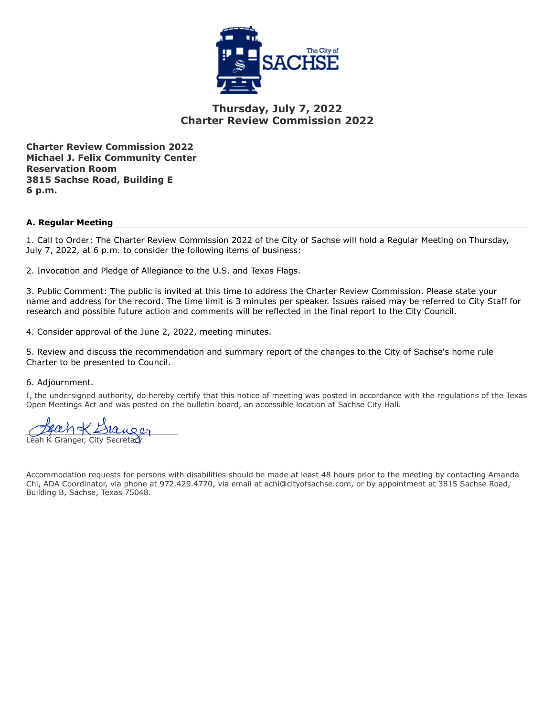

#### **Thursday, July 7, 2022 Charter Review Commission 2022**

**Charter Review Commission 2022 Michael J. Felix Community Center Reservation Room 3815 Sachse Road, Building E 6 p.m.**

#### **A. Regular Meeting**

1. Call to Order: The Charter Review Commission 2022 of the City of Sachse will hold a Regular Meeting on Thursday, July 7, 2022, at 6 p.m. to consider the following items of business:

2. Invocation and Pledge of Allegiance to the U.S. and Texas Flags.

3. Public Comment: The public is invited at this time to address the Charter Review Commission. Please state your name and address for the record. The time limit is 3 minutes per speaker. Issues raised may be referred to City Staff for research and possible future action and comments will be reflected in the final report to the City Council.

4. Consider approval of the June 2, 2022, meeting minutes.

5. Review and discuss the recommendation and summary report of the changes to the City of Sachse's home rule Charter to be presented to Council.

6. Adjournment.

I, the undersigned authority, do hereby certify that this notice of meeting was posted in accordance with the regulations of the Texas Open Meetings Act and was posted on the bulletin board, an accessible location at Sachse City Hall.

 $10u$ 00 Leah K Granger, City Secretary

Accommodation requests for persons with disabilities should be made at least 48 hours prior to the meeting by contacting Amanda Chi, ADA Coordinator, via phone at 972.429.4770, via email at achi@cityofsachse.com, or by appointment at 3815 Sachse Road, Building B, Sachse, Texas 75048.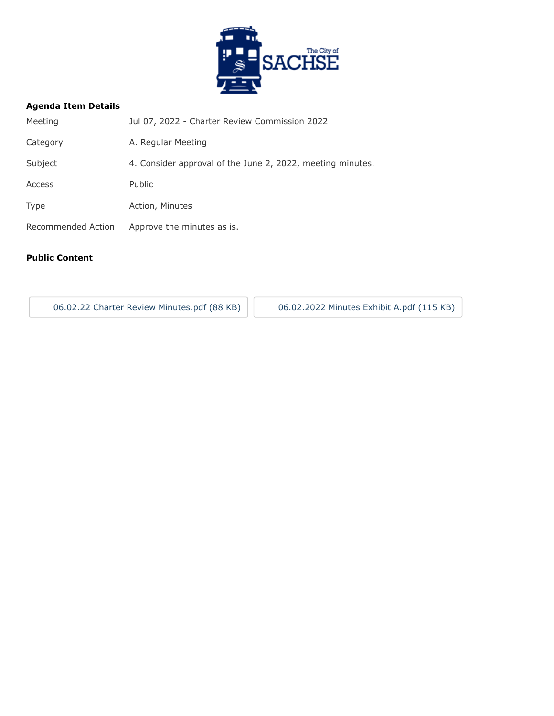

#### **Agenda Item Details**

| Meeting            | Jul 07, 2022 - Charter Review Commission 2022              |
|--------------------|------------------------------------------------------------|
| Category           | A. Regular Meeting                                         |
| Subject            | 4. Consider approval of the June 2, 2022, meeting minutes. |
| Access             | <b>Public</b>                                              |
| <b>Type</b>        | Action, Minutes                                            |
| Recommended Action | Approve the minutes as is.                                 |
|                    |                                                            |

#### **Public Content**

[06.02.22 Charter Review Minutes.pdf \(88 KB\)](https://go.boarddocs.com/tx/sachse/Board.nsf/files/CFNMMG597382/$file/06.02.22%20Charter%20Review%20Minutes.pdf) | [06.02.2022 Minutes Exhibit A.pdf \(115 KB\)](https://go.boarddocs.com/tx/sachse/Board.nsf/files/CFMQJQ6990E0/$file/06.02.2022%20Minutes%20Exhibit%20A.pdf)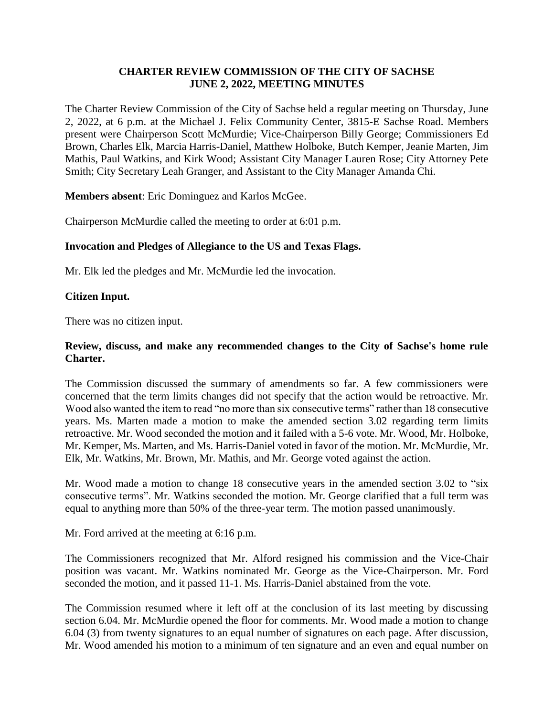#### **CHARTER REVIEW COMMISSION OF THE CITY OF SACHSE JUNE 2, 2022, MEETING MINUTES**

The Charter Review Commission of the City of Sachse held a regular meeting on Thursday, June 2, 2022, at 6 p.m. at the Michael J. Felix Community Center, 3815-E Sachse Road. Members present were Chairperson Scott McMurdie; Vice-Chairperson Billy George; Commissioners Ed Brown, Charles Elk, Marcia Harris-Daniel, Matthew Holboke, Butch Kemper, Jeanie Marten, Jim Mathis, Paul Watkins, and Kirk Wood; Assistant City Manager Lauren Rose; City Attorney Pete Smith; City Secretary Leah Granger, and Assistant to the City Manager Amanda Chi.

**Members absent**: Eric Dominguez and Karlos McGee.

Chairperson McMurdie called the meeting to order at 6:01 p.m.

#### **Invocation and Pledges of Allegiance to the US and Texas Flags.**

Mr. Elk led the pledges and Mr. McMurdie led the invocation.

#### **Citizen Input.**

There was no citizen input.

#### **Review, discuss, and make any recommended changes to the City of Sachse's home rule Charter.**

The Commission discussed the summary of amendments so far. A few commissioners were concerned that the term limits changes did not specify that the action would be retroactive. Mr. Wood also wanted the item to read "no more than six consecutive terms" rather than 18 consecutive years. Ms. Marten made a motion to make the amended section 3.02 regarding term limits retroactive. Mr. Wood seconded the motion and it failed with a 5-6 vote. Mr. Wood, Mr. Holboke, Mr. Kemper, Ms. Marten, and Ms. Harris-Daniel voted in favor of the motion. Mr. McMurdie, Mr. Elk, Mr. Watkins, Mr. Brown, Mr. Mathis, and Mr. George voted against the action.

Mr. Wood made a motion to change 18 consecutive years in the amended section 3.02 to "six consecutive terms". Mr. Watkins seconded the motion. Mr. George clarified that a full term was equal to anything more than 50% of the three-year term. The motion passed unanimously.

Mr. Ford arrived at the meeting at 6:16 p.m.

The Commissioners recognized that Mr. Alford resigned his commission and the Vice-Chair position was vacant. Mr. Watkins nominated Mr. George as the Vice-Chairperson. Mr. Ford seconded the motion, and it passed 11-1. Ms. Harris-Daniel abstained from the vote.

The Commission resumed where it left off at the conclusion of its last meeting by discussing section 6.04. Mr. McMurdie opened the floor for comments. Mr. Wood made a motion to change 6.04 (3) from twenty signatures to an equal number of signatures on each page. After discussion, Mr. Wood amended his motion to a minimum of ten signature and an even and equal number on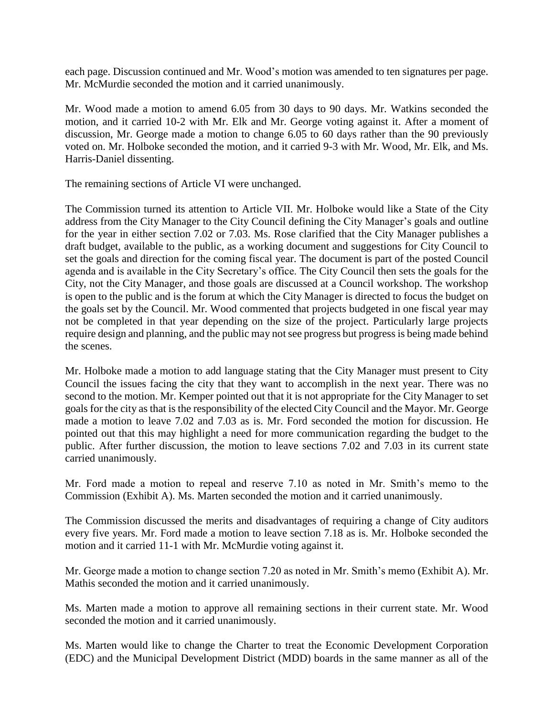each page. Discussion continued and Mr. Wood's motion was amended to ten signatures per page. Mr. McMurdie seconded the motion and it carried unanimously.

Mr. Wood made a motion to amend 6.05 from 30 days to 90 days. Mr. Watkins seconded the motion, and it carried 10-2 with Mr. Elk and Mr. George voting against it. After a moment of discussion, Mr. George made a motion to change 6.05 to 60 days rather than the 90 previously voted on. Mr. Holboke seconded the motion, and it carried 9-3 with Mr. Wood, Mr. Elk, and Ms. Harris-Daniel dissenting.

The remaining sections of Article VI were unchanged.

The Commission turned its attention to Article VII. Mr. Holboke would like a State of the City address from the City Manager to the City Council defining the City Manager's goals and outline for the year in either section 7.02 or 7.03. Ms. Rose clarified that the City Manager publishes a draft budget, available to the public, as a working document and suggestions for City Council to set the goals and direction for the coming fiscal year. The document is part of the posted Council agenda and is available in the City Secretary's office. The City Council then sets the goals for the City, not the City Manager, and those goals are discussed at a Council workshop. The workshop is open to the public and is the forum at which the City Manager is directed to focus the budget on the goals set by the Council. Mr. Wood commented that projects budgeted in one fiscal year may not be completed in that year depending on the size of the project. Particularly large projects require design and planning, and the public may not see progress but progress is being made behind the scenes.

Mr. Holboke made a motion to add language stating that the City Manager must present to City Council the issues facing the city that they want to accomplish in the next year. There was no second to the motion. Mr. Kemper pointed out that it is not appropriate for the City Manager to set goals for the city as that is the responsibility of the elected City Council and the Mayor. Mr. George made a motion to leave 7.02 and 7.03 as is. Mr. Ford seconded the motion for discussion. He pointed out that this may highlight a need for more communication regarding the budget to the public. After further discussion, the motion to leave sections 7.02 and 7.03 in its current state carried unanimously.

Mr. Ford made a motion to repeal and reserve 7.10 as noted in Mr. Smith's memo to the Commission (Exhibit A). Ms. Marten seconded the motion and it carried unanimously.

The Commission discussed the merits and disadvantages of requiring a change of City auditors every five years. Mr. Ford made a motion to leave section 7.18 as is. Mr. Holboke seconded the motion and it carried 11-1 with Mr. McMurdie voting against it.

Mr. George made a motion to change section 7.20 as noted in Mr. Smith's memo (Exhibit A). Mr. Mathis seconded the motion and it carried unanimously.

Ms. Marten made a motion to approve all remaining sections in their current state. Mr. Wood seconded the motion and it carried unanimously.

Ms. Marten would like to change the Charter to treat the Economic Development Corporation (EDC) and the Municipal Development District (MDD) boards in the same manner as all of the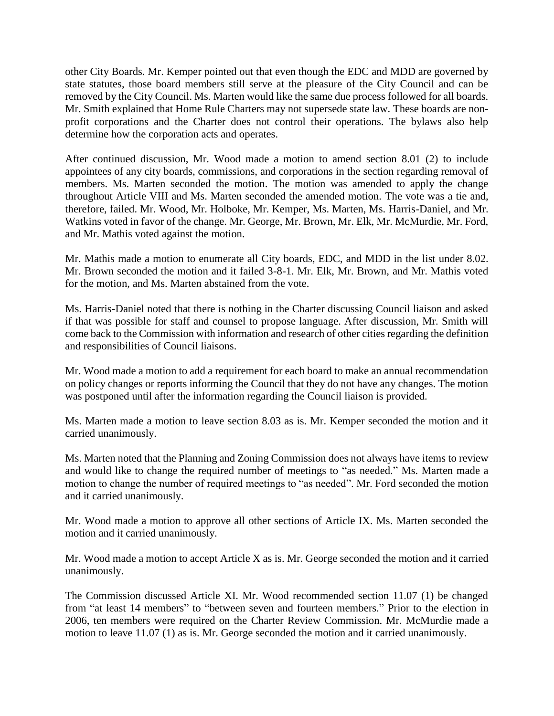other City Boards. Mr. Kemper pointed out that even though the EDC and MDD are governed by state statutes, those board members still serve at the pleasure of the City Council and can be removed by the City Council. Ms. Marten would like the same due process followed for all boards. Mr. Smith explained that Home Rule Charters may not supersede state law. These boards are nonprofit corporations and the Charter does not control their operations. The bylaws also help determine how the corporation acts and operates.

After continued discussion, Mr. Wood made a motion to amend section 8.01 (2) to include appointees of any city boards, commissions, and corporations in the section regarding removal of members. Ms. Marten seconded the motion. The motion was amended to apply the change throughout Article VIII and Ms. Marten seconded the amended motion. The vote was a tie and, therefore, failed. Mr. Wood, Mr. Holboke, Mr. Kemper, Ms. Marten, Ms. Harris-Daniel, and Mr. Watkins voted in favor of the change. Mr. George, Mr. Brown, Mr. Elk, Mr. McMurdie, Mr. Ford, and Mr. Mathis voted against the motion.

Mr. Mathis made a motion to enumerate all City boards, EDC, and MDD in the list under 8.02. Mr. Brown seconded the motion and it failed 3-8-1. Mr. Elk, Mr. Brown, and Mr. Mathis voted for the motion, and Ms. Marten abstained from the vote.

Ms. Harris-Daniel noted that there is nothing in the Charter discussing Council liaison and asked if that was possible for staff and counsel to propose language. After discussion, Mr. Smith will come back to the Commission with information and research of other cities regarding the definition and responsibilities of Council liaisons.

Mr. Wood made a motion to add a requirement for each board to make an annual recommendation on policy changes or reports informing the Council that they do not have any changes. The motion was postponed until after the information regarding the Council liaison is provided.

Ms. Marten made a motion to leave section 8.03 as is. Mr. Kemper seconded the motion and it carried unanimously.

Ms. Marten noted that the Planning and Zoning Commission does not always have items to review and would like to change the required number of meetings to "as needed." Ms. Marten made a motion to change the number of required meetings to "as needed". Mr. Ford seconded the motion and it carried unanimously.

Mr. Wood made a motion to approve all other sections of Article IX. Ms. Marten seconded the motion and it carried unanimously.

Mr. Wood made a motion to accept Article X as is. Mr. George seconded the motion and it carried unanimously.

The Commission discussed Article XI. Mr. Wood recommended section 11.07 (1) be changed from "at least 14 members" to "between seven and fourteen members." Prior to the election in 2006, ten members were required on the Charter Review Commission. Mr. McMurdie made a motion to leave 11.07 (1) as is. Mr. George seconded the motion and it carried unanimously.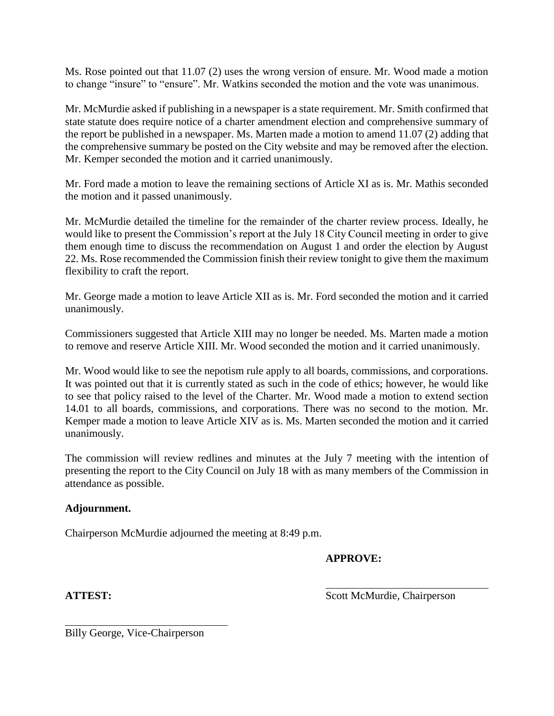Ms. Rose pointed out that 11.07 (2) uses the wrong version of ensure. Mr. Wood made a motion to change "insure" to "ensure". Mr. Watkins seconded the motion and the vote was unanimous.

Mr. McMurdie asked if publishing in a newspaper is a state requirement. Mr. Smith confirmed that state statute does require notice of a charter amendment election and comprehensive summary of the report be published in a newspaper. Ms. Marten made a motion to amend 11.07 (2) adding that the comprehensive summary be posted on the City website and may be removed after the election. Mr. Kemper seconded the motion and it carried unanimously.

Mr. Ford made a motion to leave the remaining sections of Article XI as is. Mr. Mathis seconded the motion and it passed unanimously.

Mr. McMurdie detailed the timeline for the remainder of the charter review process. Ideally, he would like to present the Commission's report at the July 18 City Council meeting in order to give them enough time to discuss the recommendation on August 1 and order the election by August 22. Ms. Rose recommended the Commission finish their review tonight to give them the maximum flexibility to craft the report.

Mr. George made a motion to leave Article XII as is. Mr. Ford seconded the motion and it carried unanimously.

Commissioners suggested that Article XIII may no longer be needed. Ms. Marten made a motion to remove and reserve Article XIII. Mr. Wood seconded the motion and it carried unanimously.

Mr. Wood would like to see the nepotism rule apply to all boards, commissions, and corporations. It was pointed out that it is currently stated as such in the code of ethics; however, he would like to see that policy raised to the level of the Charter. Mr. Wood made a motion to extend section 14.01 to all boards, commissions, and corporations. There was no second to the motion. Mr. Kemper made a motion to leave Article XIV as is. Ms. Marten seconded the motion and it carried unanimously.

The commission will review redlines and minutes at the July 7 meeting with the intention of presenting the report to the City Council on July 18 with as many members of the Commission in attendance as possible.

#### **Adjournment.**

Chairperson McMurdie adjourned the meeting at 8:49 p.m.

#### **APPROVE:**

**ATTEST:** Scott McMurdie, Chairperson

Billy George, Vice-Chairperson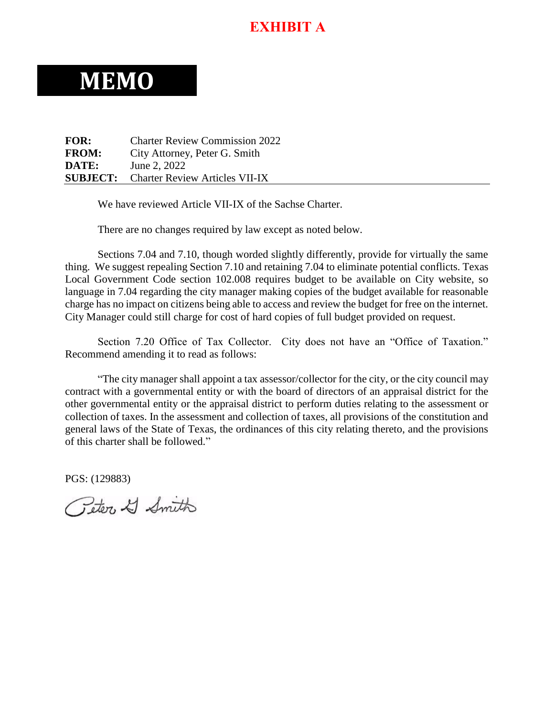# **EXHIBIT A**

# **MEMO**

**FOR:** Charter Review Commission 2022 **FROM:** City Attorney, Peter G. Smith **DATE:** June 2, 2022 **SUBJECT:** Charter Review Articles VII-IX

We have reviewed Article VII-IX of the Sachse Charter.

There are no changes required by law except as noted below.

Sections 7.04 and 7.10, though worded slightly differently, provide for virtually the same thing. We suggest repealing Section 7.10 and retaining 7.04 to eliminate potential conflicts. Texas Local Government Code section 102.008 requires budget to be available on City website, so language in 7.04 regarding the city manager making copies of the budget available for reasonable charge has no impact on citizens being able to access and review the budget for free on the internet. City Manager could still charge for cost of hard copies of full budget provided on request.

Section 7.20 Office of Tax Collector. City does not have an "Office of Taxation." Recommend amending it to read as follows:

"The city manager shall appoint a tax assessor/collector for the city, or the city council may contract with a governmental entity or with the board of directors of an appraisal district for the other governmental entity or the appraisal district to perform duties relating to the assessment or collection of taxes. In the assessment and collection of taxes, all provisions of the constitution and general laws of the State of Texas, the ordinances of this city relating thereto, and the provisions of this charter shall be followed."

PGS: (129883)

Geter & Smith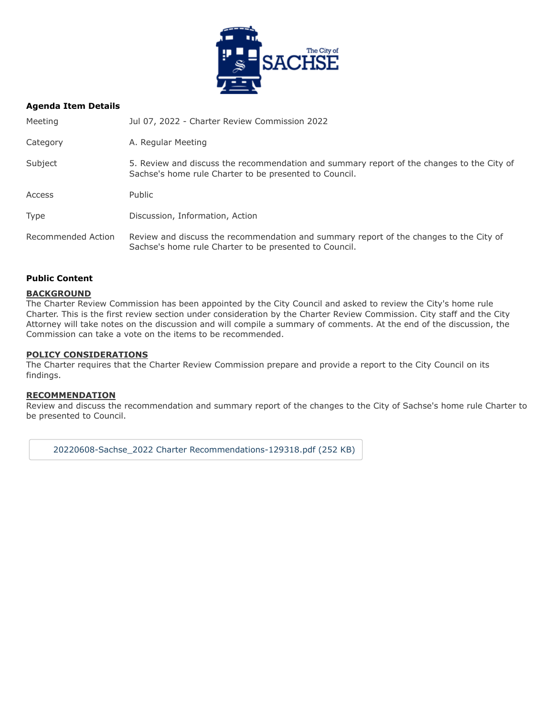

#### **Agenda Item Details**

| Meeting            | Jul 07, 2022 - Charter Review Commission 2022                                                                                                       |
|--------------------|-----------------------------------------------------------------------------------------------------------------------------------------------------|
| Category           | A. Regular Meeting                                                                                                                                  |
| Subject            | 5. Review and discuss the recommendation and summary report of the changes to the City of<br>Sachse's home rule Charter to be presented to Council. |
| Access             | Public                                                                                                                                              |
| <b>Type</b>        | Discussion, Information, Action                                                                                                                     |
| Recommended Action | Review and discuss the recommendation and summary report of the changes to the City of<br>Sachse's home rule Charter to be presented to Council.    |

#### **Public Content**

#### **BACKGROUND**

The Charter Review Commission has been appointed by the City Council and asked to review the City's home rule Charter. This is the first review section under consideration by the Charter Review Commission. City staff and the City Attorney will take notes on the discussion and will compile a summary of comments. At the end of the discussion, the Commission can take a vote on the items to be recommended.

#### **POLICY CONSIDERATIONS**

The Charter requires that the Charter Review Commission prepare and provide a report to the City Council on its findings.

#### **RECOMMENDATION**

Review and discuss the recommendation and summary report of the changes to the City of Sachse's home rule Charter to be presented to Council.

[20220608-Sachse\\_2022 Charter Recommendations-129318.pdf \(252 KB\)](https://go.boarddocs.com/tx/sachse/Board.nsf/files/CFNSS673FFB2/$file/20220608-Sachse_2022%20Charter%20Recommendations-129318.pdf)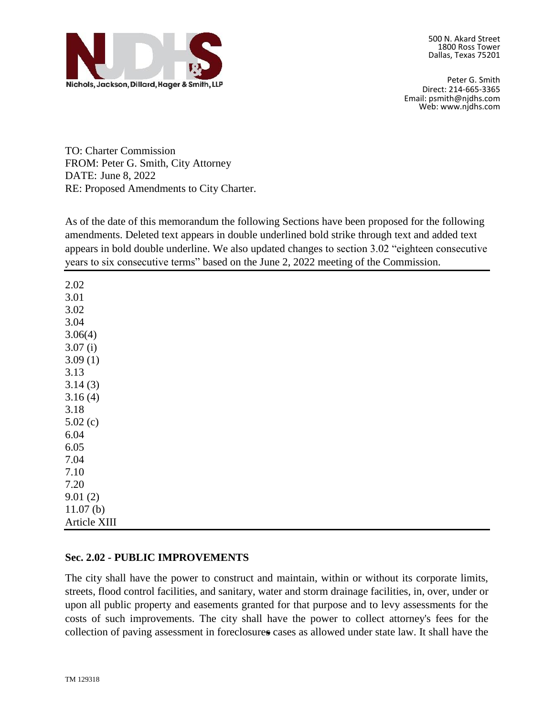

Peter G. Smith Direct: 214-665-3365 Email: psmith@njdhs.com Web: www.njdhs.com

TO: Charter Commission FROM: Peter G. Smith, City Attorney DATE: June 8, 2022 RE: Proposed Amendments to City Charter.

As of the date of this memorandum the following Sections have been proposed for the following amendments. Deleted text appears in double underlined bold strike through text and added text appears in bold double underline. We also updated changes to section 3.02 "eighteen consecutive years to six consecutive terms" based on the June 2, 2022 meeting of the Commission.

2.02 3.01 3.02 3.04 3.06(4) 3.07 (i) 3.09 (1) 3.13 3.14 (3) 3.16 (4) 3.18 5.02 (c) 6.04 6.05 7.04 7.10 7.20 9.01 (2) 11.07 (b) Article XIII

#### **Sec. 2.02 - PUBLIC IMPROVEMENTS**

The city shall have the power to construct and maintain, within or without its corporate limits, streets, flood control facilities, and sanitary, water and storm drainage facilities, in, over, under or upon all public property and easements granted for that purpose and to levy assessments for the costs of such improvements. The city shall have the power to collect attorney's fees for the collection of paving assessment in foreclosure**s** cases as allowed under state law. It shall have the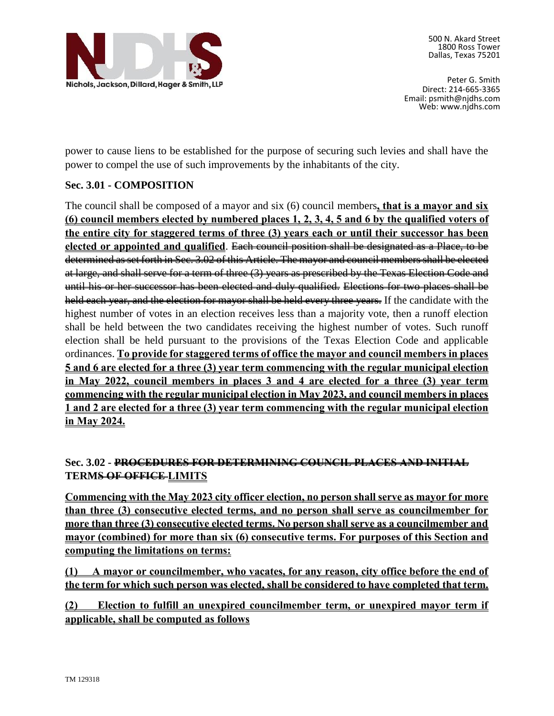

Peter G. Smith Direct: 214-665-3365 Email: psmith@njdhs.com Web: www.njdhs.com

power to cause liens to be established for the purpose of securing such levies and shall have the power to compel the use of such improvements by the inhabitants of the city.

## **Sec. 3.01 - COMPOSITION**

The council shall be composed of a mayor and six (6) council members**, that is a mayor and six (6) council members elected by numbered places 1, 2, 3, 4, 5 and 6 by the qualified voters of the entire city for staggered terms of three (3) years each or until their successor has been elected or appointed and qualified**. Each council position shall be designated as a Place, to be determined as set forth in Sec. 3.02 of this Article. The mayor and council members shall be elected at large, and shall serve for a term of three (3) years as prescribed by the Texas Election Code and until his or her successor has been elected and duly qualified. Elections for two places shall be held each year, and the election for mayor shall be held every three years. If the candidate with the highest number of votes in an election receives less than a majority vote, then a runoff election shall be held between the two candidates receiving the highest number of votes. Such runoff election shall be held pursuant to the provisions of the Texas Election Code and applicable ordinances. **To provide for staggered terms of office the mayor and council members in places 5 and 6 are elected for a three (3) year term commencing with the regular municipal election in May 2022, council members in places 3 and 4 are elected for a three (3) year term commencing with the regular municipal election in May 2023, and council members in places 1 and 2 are elected for a three (3) year term commencing with the regular municipal election in May 2024.**

## **Sec. 3.02 - PROCEDURES FOR DETERMINING COUNCIL PLACES AND INITIAL TERMS OF OFFICE LIMITS**

**Commencing with the May 2023 city officer election, no person shall serve as mayor for more than three (3) consecutive elected terms, and no person shall serve as councilmember for more than three (3) consecutive elected terms. No person shall serve as a councilmember and mayor (combined) for more than six (6) consecutive terms. For purposes of this Section and computing the limitations on terms:**

**(1) A mayor or councilmember, who vacates, for any reason, city office before the end of the term for which such person was elected, shall be considered to have completed that term.**

**(2) Election to fulfill an unexpired councilmember term, or unexpired mayor term if applicable, shall be computed as follows**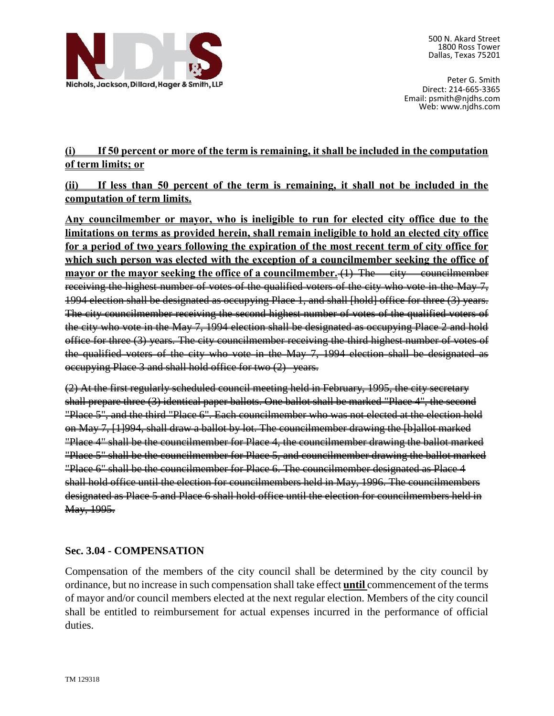

Peter G. Smith Direct: 214-665-3365 Email: psmith@njdhs.com Web: www.njdhs.com

# **(i) If 50 percent or more of the term is remaining, it shall be included in the computation of term limits; or**

**(ii) If less than 50 percent of the term is remaining, it shall not be included in the computation of term limits.**

**Any councilmember or mayor, who is ineligible to run for elected city office due to the limitations on terms as provided herein, shall remain ineligible to hold an elected city office for a period of two years following the expiration of the most recent term of city office for which such person was elected with the exception of a councilmember seeking the office of mayor or the mayor seeking the office of a councilmember.** (1) The eity councilmember receiving the highest number of votes of the qualified voters of the city who vote in the May 7, 1994 election shall be designated as occupying Place 1, and shall [hold] office for three (3) years. The city councilmember receiving the second highest number of votes of the qualified voters of the city who vote in the May 7, 1994 election shall be designated as occupying Place 2 and hold office for three (3) years. The city councilmember receiving the third highest number of votes of the qualified voters of the city who vote in the May 7, 1994 election shall be designated as occupying Place 3 and shall hold office for two (2) years.

(2) At the first regularly scheduled council meeting held in February, 1995, the city secretary shall prepare three (3) identical paper ballots. One ballot shall be marked "Place 4", the second "Place 5", and the third "Place 6". Each councilmember who was not elected at the election held on May 7, [1]994, shall draw a ballot by lot. The councilmember drawing the [b]allot marked "Place 4" shall be the councilmember for Place 4, the councilmember drawing the ballot marked "Place 5" shall be the councilmember for Place 5, and councilmember drawing the ballot marked "Place 6" shall be the councilmember for Place 6. The councilmember designated as Place 4 shall hold office until the election for councilmembers held in May, 1996. The councilmembers designated as Place 5 and Place 6 shall hold office until the election for councilmembers held in May, 1995.

#### **Sec. 3.04 - COMPENSATION**

Compensation of the members of the city council shall be determined by the city council by ordinance, but no increase in such compensation shall take effect **until** commencement of the terms of mayor and/or council members elected at the next regular election. Members of the city council shall be entitled to reimbursement for actual expenses incurred in the performance of official duties.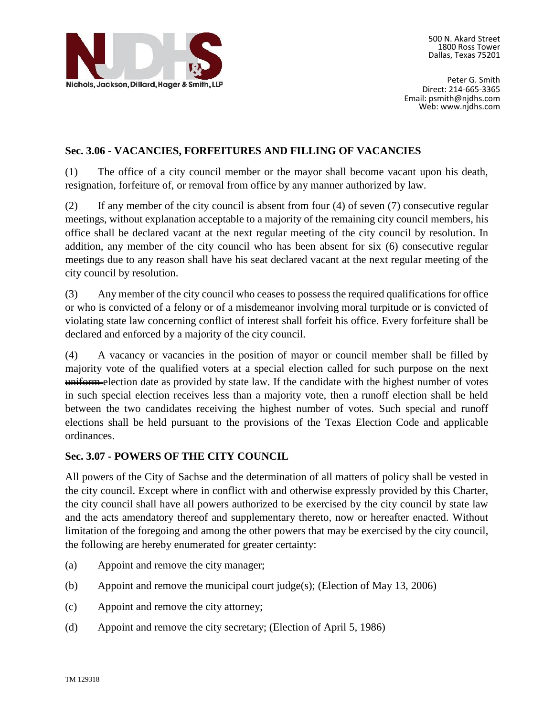

Peter G. Smith Direct: 214-665-3365 Email: psmith@njdhs.com Web: www.njdhs.com

#### **Sec. 3.06 - VACANCIES, FORFEITURES AND FILLING OF VACANCIES**

(1) The office of a city council member or the mayor shall become vacant upon his death, resignation, forfeiture of, or removal from office by any manner authorized by law.

(2) If any member of the city council is absent from four (4) of seven (7) consecutive regular meetings, without explanation acceptable to a majority of the remaining city council members, his office shall be declared vacant at the next regular meeting of the city council by resolution. In addition, any member of the city council who has been absent for six (6) consecutive regular meetings due to any reason shall have his seat declared vacant at the next regular meeting of the city council by resolution.

(3) Any member of the city council who ceases to possess the required qualifications for office or who is convicted of a felony or of a misdemeanor involving moral turpitude or is convicted of violating state law concerning conflict of interest shall forfeit his office. Every forfeiture shall be declared and enforced by a majority of the city council.

(4) A vacancy or vacancies in the position of mayor or council member shall be filled by majority vote of the qualified voters at a special election called for such purpose on the next uniform election date as provided by state law. If the candidate with the highest number of votes in such special election receives less than a majority vote, then a runoff election shall be held between the two candidates receiving the highest number of votes. Such special and runoff elections shall be held pursuant to the provisions of the Texas Election Code and applicable ordinances.

#### **Sec. 3.07 - POWERS OF THE CITY COUNCIL**

All powers of the City of Sachse and the determination of all matters of policy shall be vested in the city council. Except where in conflict with and otherwise expressly provided by this Charter, the city council shall have all powers authorized to be exercised by the city council by state law and the acts amendatory thereof and supplementary thereto, now or hereafter enacted. Without limitation of the foregoing and among the other powers that may be exercised by the city council, the following are hereby enumerated for greater certainty:

- (a) Appoint and remove the city manager;
- (b) Appoint and remove the municipal court judge(s); (Election of May 13, 2006)
- (c) Appoint and remove the city attorney;
- (d) Appoint and remove the city secretary; (Election of April 5, 1986)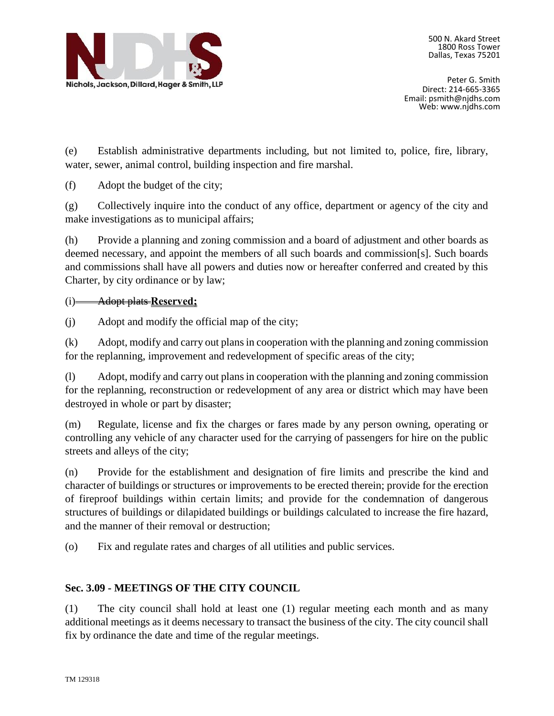

Peter G. Smith Direct: 214-665-3365 Email: psmith@njdhs.com Web: www.njdhs.com

(e) Establish administrative departments including, but not limited to, police, fire, library, water, sewer, animal control, building inspection and fire marshal.

(f) Adopt the budget of the city;

(g) Collectively inquire into the conduct of any office, department or agency of the city and make investigations as to municipal affairs;

(h) Provide a planning and zoning commission and a board of adjustment and other boards as deemed necessary, and appoint the members of all such boards and commission[s]. Such boards and commissions shall have all powers and duties now or hereafter conferred and created by this Charter, by city ordinance or by law;

#### (i) Adopt plats **Reserved;**

(j) Adopt and modify the official map of the city;

(k) Adopt, modify and carry out plans in cooperation with the planning and zoning commission for the replanning, improvement and redevelopment of specific areas of the city;

(l) Adopt, modify and carry out plans in cooperation with the planning and zoning commission for the replanning, reconstruction or redevelopment of any area or district which may have been destroyed in whole or part by disaster;

(m) Regulate, license and fix the charges or fares made by any person owning, operating or controlling any vehicle of any character used for the carrying of passengers for hire on the public streets and alleys of the city;

(n) Provide for the establishment and designation of fire limits and prescribe the kind and character of buildings or structures or improvements to be erected therein; provide for the erection of fireproof buildings within certain limits; and provide for the condemnation of dangerous structures of buildings or dilapidated buildings or buildings calculated to increase the fire hazard, and the manner of their removal or destruction;

(o) Fix and regulate rates and charges of all utilities and public services.

#### **Sec. 3.09 - MEETINGS OF THE CITY COUNCIL**

(1) The city council shall hold at least one (1) regular meeting each month and as many additional meetings as it deems necessary to transact the business of the city. The city council shall fix by ordinance the date and time of the regular meetings.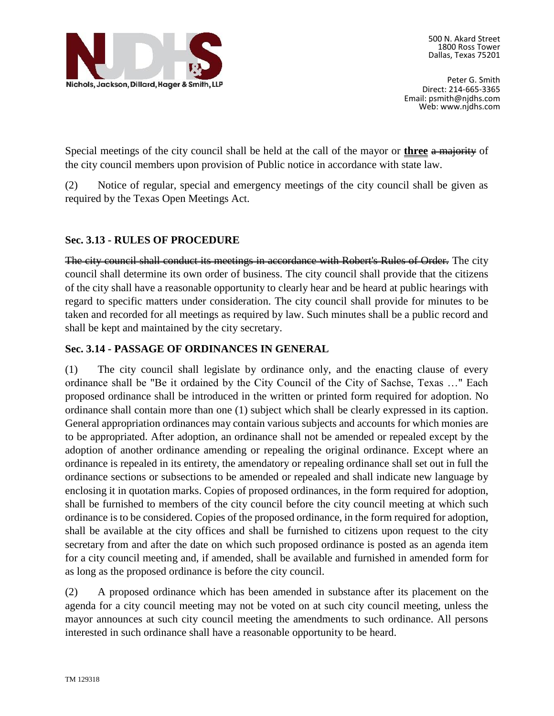

Peter G. Smith Direct: 214-665-3365 Email: psmith@njdhs.com Web: www.njdhs.com

Special meetings of the city council shall be held at the call of the mayor or **three** a majority of the city council members upon provision of Public notice in accordance with state law.

(2) Notice of regular, special and emergency meetings of the city council shall be given as required by the Texas Open Meetings Act.

#### **Sec. 3.13 - RULES OF PROCEDURE**

The city council shall conduct its meetings in accordance with Robert's Rules of Order. The city council shall determine its own order of business. The city council shall provide that the citizens of the city shall have a reasonable opportunity to clearly hear and be heard at public hearings with regard to specific matters under consideration. The city council shall provide for minutes to be taken and recorded for all meetings as required by law. Such minutes shall be a public record and shall be kept and maintained by the city secretary.

#### **Sec. 3.14 - PASSAGE OF ORDINANCES IN GENERAL**

(1) The city council shall legislate by ordinance only, and the enacting clause of every ordinance shall be "Be it ordained by the City Council of the City of Sachse, Texas …" Each proposed ordinance shall be introduced in the written or printed form required for adoption. No ordinance shall contain more than one (1) subject which shall be clearly expressed in its caption. General appropriation ordinances may contain various subjects and accounts for which monies are to be appropriated. After adoption, an ordinance shall not be amended or repealed except by the adoption of another ordinance amending or repealing the original ordinance. Except where an ordinance is repealed in its entirety, the amendatory or repealing ordinance shall set out in full the ordinance sections or subsections to be amended or repealed and shall indicate new language by enclosing it in quotation marks. Copies of proposed ordinances, in the form required for adoption, shall be furnished to members of the city council before the city council meeting at which such ordinance is to be considered. Copies of the proposed ordinance, in the form required for adoption, shall be available at the city offices and shall be furnished to citizens upon request to the city secretary from and after the date on which such proposed ordinance is posted as an agenda item for a city council meeting and, if amended, shall be available and furnished in amended form for as long as the proposed ordinance is before the city council.

(2) A proposed ordinance which has been amended in substance after its placement on the agenda for a city council meeting may not be voted on at such city council meeting, unless the mayor announces at such city council meeting the amendments to such ordinance. All persons interested in such ordinance shall have a reasonable opportunity to be heard.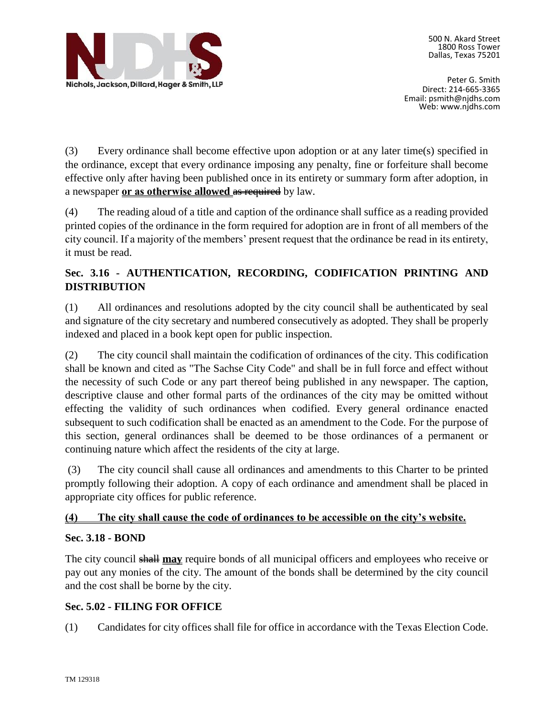

Peter G. Smith Direct: 214-665-3365 Email: psmith@njdhs.com Web: www.njdhs.com

(3) Every ordinance shall become effective upon adoption or at any later time(s) specified in the ordinance, except that every ordinance imposing any penalty, fine or forfeiture shall become effective only after having been published once in its entirety or summary form after adoption, in a newspaper **or as otherwise allowed** as required by law.

(4) The reading aloud of a title and caption of the ordinance shall suffice as a reading provided printed copies of the ordinance in the form required for adoption are in front of all members of the city council. If a majority of the members' present request that the ordinance be read in its entirety, it must be read.

# **Sec. 3.16 - AUTHENTICATION, RECORDING, CODIFICATION PRINTING AND DISTRIBUTION**

(1) All ordinances and resolutions adopted by the city council shall be authenticated by seal and signature of the city secretary and numbered consecutively as adopted. They shall be properly indexed and placed in a book kept open for public inspection.

(2) The city council shall maintain the codification of ordinances of the city. This codification shall be known and cited as "The Sachse City Code" and shall be in full force and effect without the necessity of such Code or any part thereof being published in any newspaper. The caption, descriptive clause and other formal parts of the ordinances of the city may be omitted without effecting the validity of such ordinances when codified. Every general ordinance enacted subsequent to such codification shall be enacted as an amendment to the Code. For the purpose of this section, general ordinances shall be deemed to be those ordinances of a permanent or continuing nature which affect the residents of the city at large.

(3) The city council shall cause all ordinances and amendments to this Charter to be printed promptly following their adoption. A copy of each ordinance and amendment shall be placed in appropriate city offices for public reference.

#### **(4) The city shall cause the code of ordinances to be accessible on the city's website.**

# **Sec. 3.18 - BOND**

The city council shall **may** require bonds of all municipal officers and employees who receive or pay out any monies of the city. The amount of the bonds shall be determined by the city council and the cost shall be borne by the city.

# **Sec. 5.02 - FILING FOR OFFICE**

(1) Candidates for city offices shall file for office in accordance with the Texas Election Code.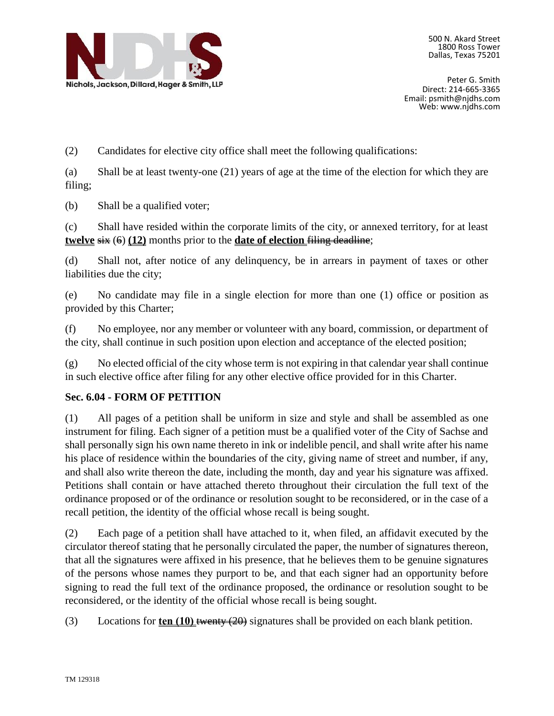

Peter G. Smith Direct: 214-665-3365 Email: psmith@njdhs.com Web: www.njdhs.com

(2) Candidates for elective city office shall meet the following qualifications:

(a) Shall be at least twenty-one (21) years of age at the time of the election for which they are filing;

(b) Shall be a qualified voter;

(c) Shall have resided within the corporate limits of the city, or annexed territory, for at least **twelve**  $\frac{1}{\sqrt{2}}$  (6) (12) months prior to the **date of election**  $\frac{1}{\sqrt{2}}$  deadline;

(d) Shall not, after notice of any delinquency, be in arrears in payment of taxes or other liabilities due the city;

(e) No candidate may file in a single election for more than one (1) office or position as provided by this Charter;

(f) No employee, nor any member or volunteer with any board, commission, or department of the city, shall continue in such position upon election and acceptance of the elected position;

(g) No elected official of the city whose term is not expiring in that calendar year shall continue in such elective office after filing for any other elective office provided for in this Charter.

#### **Sec. 6.04 - FORM OF PETITION**

(1) All pages of a petition shall be uniform in size and style and shall be assembled as one instrument for filing. Each signer of a petition must be a qualified voter of the City of Sachse and shall personally sign his own name thereto in ink or indelible pencil, and shall write after his name his place of residence within the boundaries of the city, giving name of street and number, if any, and shall also write thereon the date, including the month, day and year his signature was affixed. Petitions shall contain or have attached thereto throughout their circulation the full text of the ordinance proposed or of the ordinance or resolution sought to be reconsidered, or in the case of a recall petition, the identity of the official whose recall is being sought.

(2) Each page of a petition shall have attached to it, when filed, an affidavit executed by the circulator thereof stating that he personally circulated the paper, the number of signatures thereon, that all the signatures were affixed in his presence, that he believes them to be genuine signatures of the persons whose names they purport to be, and that each signer had an opportunity before signing to read the full text of the ordinance proposed, the ordinance or resolution sought to be reconsidered, or the identity of the official whose recall is being sought.

(3) Locations for **ten (10)** twenty (20) signatures shall be provided on each blank petition.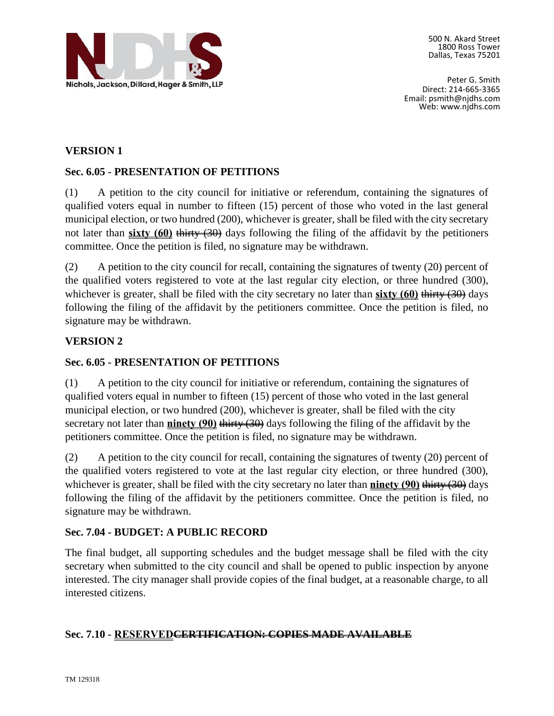

Peter G. Smith Direct: 214-665-3365 Email: psmith@njdhs.com Web: www.njdhs.com

#### **VERSION 1**

#### **Sec. 6.05 - PRESENTATION OF PETITIONS**

(1) A petition to the city council for initiative or referendum, containing the signatures of qualified voters equal in number to fifteen (15) percent of those who voted in the last general municipal election, or two hundred (200), whichever is greater, shall be filed with the city secretary not later than **sixty (60)** thirty (30) days following the filing of the affidavit by the petitioners committee. Once the petition is filed, no signature may be withdrawn.

(2) A petition to the city council for recall, containing the signatures of twenty (20) percent of the qualified voters registered to vote at the last regular city election, or three hundred (300), whichever is greater, shall be filed with the city secretary no later than **sixty (60)** thirty (30) days following the filing of the affidavit by the petitioners committee. Once the petition is filed, no signature may be withdrawn.

#### **VERSION 2**

#### **Sec. 6.05 - PRESENTATION OF PETITIONS**

(1) A petition to the city council for initiative or referendum, containing the signatures of qualified voters equal in number to fifteen (15) percent of those who voted in the last general municipal election, or two hundred (200), whichever is greater, shall be filed with the city secretary not later than **ninety (90)** thirty (30) days following the filing of the affidavit by the petitioners committee. Once the petition is filed, no signature may be withdrawn.

(2) A petition to the city council for recall, containing the signatures of twenty (20) percent of the qualified voters registered to vote at the last regular city election, or three hundred (300), whichever is greater, shall be filed with the city secretary no later than **ninety (90)** thirty (30) days following the filing of the affidavit by the petitioners committee. Once the petition is filed, no signature may be withdrawn.

#### **Sec. 7.04 - BUDGET: A PUBLIC RECORD**

The final budget, all supporting schedules and the budget message shall be filed with the city secretary when submitted to the city council and shall be opened to public inspection by anyone interested. The city manager shall provide copies of the final budget, at a reasonable charge, to all interested citizens.

#### **Sec. 7.10 - RESERVEDCERTIFICATION: COPIES MADE AVAILABLE**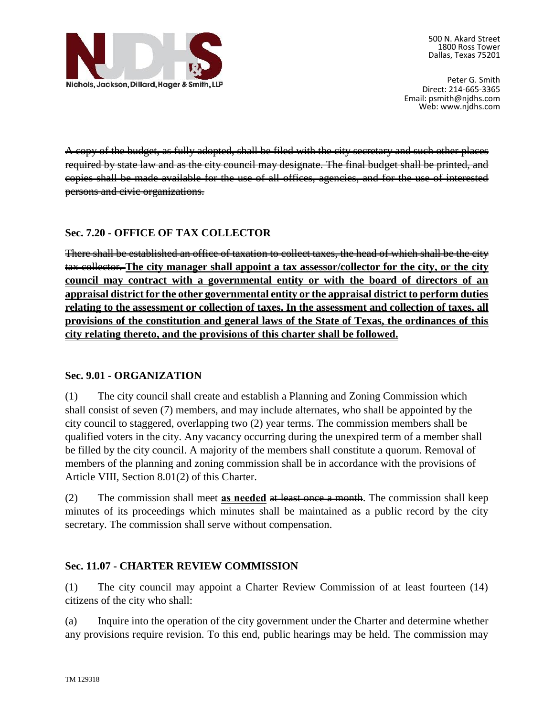

Peter G. Smith Direct: 214-665-3365 Email: psmith@njdhs.com Web: www.njdhs.com

A copy of the budget, as fully adopted, shall be filed with the city secretary and such other places required by state law and as the city council may designate. The final budget shall be printed, and copies shall be made available for the use of all offices, agencies, and for the use of interested persons and civic organizations.

#### **Sec. 7.20 - OFFICE OF TAX COLLECTOR**

There shall be established an office of taxation to collect taxes, the head of which shall be the city tax collector. **The city manager shall appoint a tax assessor/collector for the city, or the city council may contract with a governmental entity or with the board of directors of an appraisal district for the other governmental entity or the appraisal district to perform duties relating to the assessment or collection of taxes. In the assessment and collection of taxes, all provisions of the constitution and general laws of the State of Texas, the ordinances of this city relating thereto, and the provisions of this charter shall be followed.**

#### **Sec. 9.01 - ORGANIZATION**

(1) The city council shall create and establish a Planning and Zoning Commission which shall consist of seven (7) members, and may include alternates, who shall be appointed by the city council to staggered, overlapping two (2) year terms. The commission members shall be qualified voters in the city. Any vacancy occurring during the unexpired term of a member shall be filled by the city council. A majority of the members shall constitute a quorum. Removal of members of the planning and zoning commission shall be in accordance with the provisions of Article VIII, Section 8.01(2) of this Charter.

(2) The commission shall meet **as needed** at least once a month. The commission shall keep minutes of its proceedings which minutes shall be maintained as a public record by the city secretary. The commission shall serve without compensation.

#### **Sec. 11.07 - CHARTER REVIEW COMMISSION**

(1) The city council may appoint a Charter Review Commission of at least fourteen (14) citizens of the city who shall:

(a) Inquire into the operation of the city government under the Charter and determine whether any provisions require revision. To this end, public hearings may be held. The commission may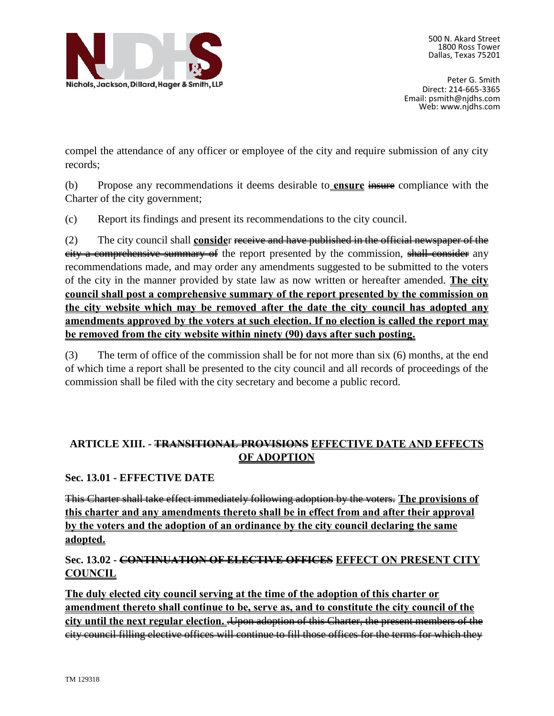

Peter G. Smith Direct: 214-665-3365 Email: psmith@njdhs.com Web: www.njdhs.com

compel the attendance of any officer or employee of the city and require submission of any city records;

(b) Propose any recommendations it deems desirable to **ensure** insure compliance with the Charter of the city government;

(c) Report its findings and present its recommendations to the city council.

(2) The city council shall **conside**r receive and have published in the official newspaper of the eity a comprehensive summary of the report presented by the commission, shall consider any recommendations made, and may order any amendments suggested to be submitted to the voters of the city in the manner provided by state law as now written or hereafter amended. **The city council shall post a comprehensive summary of the report presented by the commission on the city website which may be removed after the date the city council has adopted any amendments approved by the voters at such election. If no election is called the report may be removed from the city website within ninety (90) days after such posting.**

(3) The term of office of the commission shall be for not more than six (6) months, at the end of which time a report shall be presented to the city council and all records of proceedings of the commission shall be filed with the city secretary and become a public record.

# **ARTICLE XIII. - TRANSITIONAL PROVISIONS EFFECTIVE DATE AND EFFECTS OF ADOPTION**

**Sec. 13.01 - EFFECTIVE DATE**

This Charter shall take effect immediately following adoption by the voters. **The provisions of this charter and any amendments thereto shall be in effect from and after their approval by the voters and the adoption of an ordinance by the city council declaring the same adopted.**

# **Sec. 13.02 - CONTINUATION OF ELECTIVE OFFICES EFFECT ON PRESENT CITY COUNCIL**

**The duly elected city council serving at the time of the adoption of this charter or amendment thereto shall continue to be, serve as, and to constitute the city council of the city until the next regular election.** .Upon adoption of this Charter, the present members of the city council filling elective offices will continue to fill those offices for the terms for which they